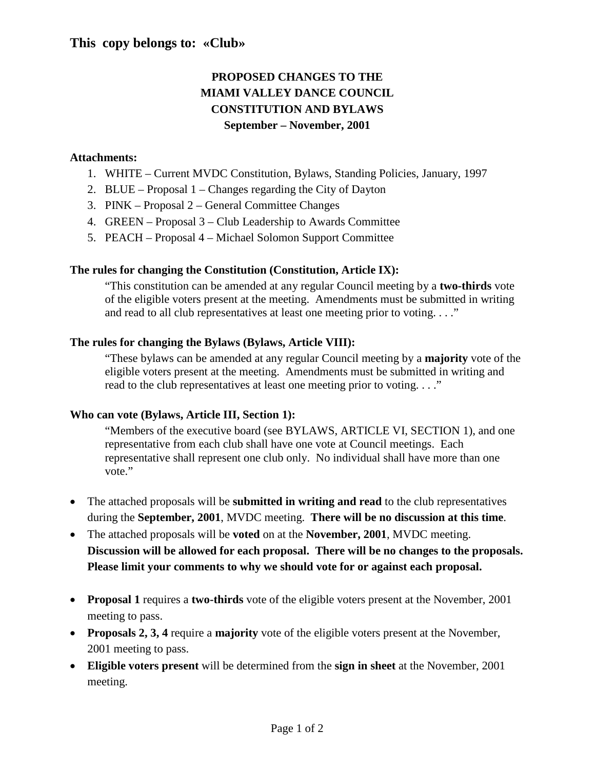# **This copy belongs to: «Club»**

# **PROPOSED CHANGES TO THE MIAMI VALLEY DANCE COUNCIL CONSTITUTION AND BYLAWS September – November, 2001**

## **Attachments:**

- 1. WHITE Current MVDC Constitution, Bylaws, Standing Policies, January, 1997
- 2. BLUE Proposal 1 Changes regarding the City of Dayton
- 3. PINK Proposal 2 General Committee Changes
- 4. GREEN Proposal 3 Club Leadership to Awards Committee
- 5. PEACH Proposal 4 Michael Solomon Support Committee

# **The rules for changing the Constitution (Constitution, Article IX):**

"This constitution can be amended at any regular Council meeting by a **two-thirds** vote of the eligible voters present at the meeting. Amendments must be submitted in writing and read to all club representatives at least one meeting prior to voting. . . ."

# **The rules for changing the Bylaws (Bylaws, Article VIII):**

"These bylaws can be amended at any regular Council meeting by a **majority** vote of the eligible voters present at the meeting. Amendments must be submitted in writing and read to the club representatives at least one meeting prior to voting. . . ."

# **Who can vote (Bylaws, Article III, Section 1):**

"Members of the executive board (see BYLAWS, ARTICLE VI, SECTION 1), and one representative from each club shall have one vote at Council meetings. Each representative shall represent one club only. No individual shall have more than one vote."

- The attached proposals will be **submitted in writing and read** to the club representatives during the **September, 2001**, MVDC meeting. **There will be no discussion at this time**.
- The attached proposals will be **voted** on at the **November, 2001**, MVDC meeting. **Discussion will be allowed for each proposal. There will be no changes to the proposals. Please limit your comments to why we should vote for or against each proposal.**
- **Proposal 1** requires a **two-thirds** vote of the eligible voters present at the November, 2001 meeting to pass.
- **Proposals 2, 3, 4** require a **majority** vote of the eligible voters present at the November, 2001 meeting to pass.
- **Eligible voters present** will be determined from the **sign in sheet** at the November, 2001 meeting.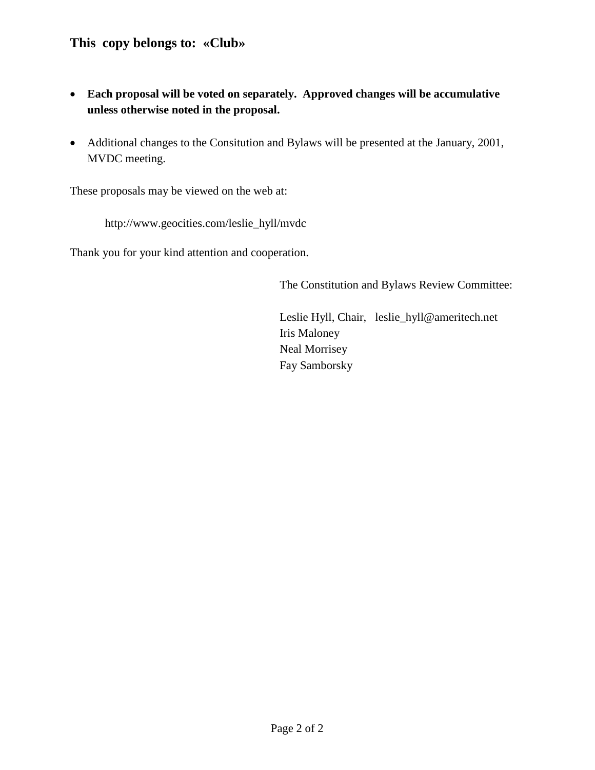# **This copy belongs to: «Club»**

- **Each proposal will be voted on separately. Approved changes will be accumulative unless otherwise noted in the proposal.**
- Additional changes to the Consitution and Bylaws will be presented at the January, 2001, MVDC meeting.

These proposals may be viewed on the web at:

http://www.geocities.com/leslie\_hyll/mvdc

Thank you for your kind attention and cooperation.

The Constitution and Bylaws Review Committee:

Leslie Hyll, Chair, leslie\_hyll@ameritech.net Iris Maloney Neal Morrisey Fay Samborsky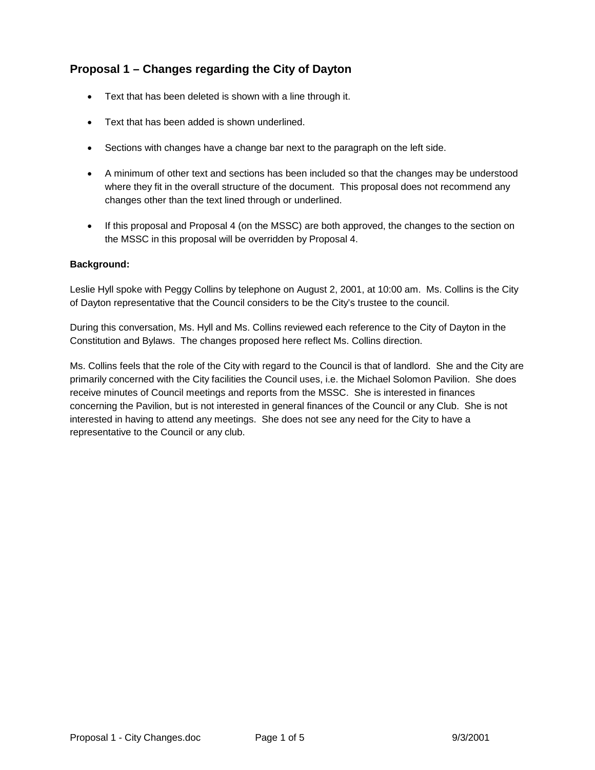# **Proposal 1 – Changes regarding the City of Dayton**

- Text that has been deleted is shown with a line through it.
- Text that has been added is shown underlined.
- Sections with changes have a change bar next to the paragraph on the left side.
- A minimum of other text and sections has been included so that the changes may be understood where they fit in the overall structure of the document. This proposal does not recommend any changes other than the text lined through or underlined.
- If this proposal and Proposal 4 (on the MSSC) are both approved, the changes to the section on the MSSC in this proposal will be overridden by Proposal 4.

## **Background:**

Leslie Hyll spoke with Peggy Collins by telephone on August 2, 2001, at 10:00 am. Ms. Collins is the City of Dayton representative that the Council considers to be the City's trustee to the council.

During this conversation, Ms. Hyll and Ms. Collins reviewed each reference to the City of Dayton in the Constitution and Bylaws. The changes proposed here reflect Ms. Collins direction.

Ms. Collins feels that the role of the City with regard to the Council is that of landlord. She and the City are primarily concerned with the City facilities the Council uses, i.e. the Michael Solomon Pavilion. She does receive minutes of Council meetings and reports from the MSSC. She is interested in finances concerning the Pavilion, but is not interested in general finances of the Council or any Club. She is not interested in having to attend any meetings. She does not see any need for the City to have a representative to the Council or any club.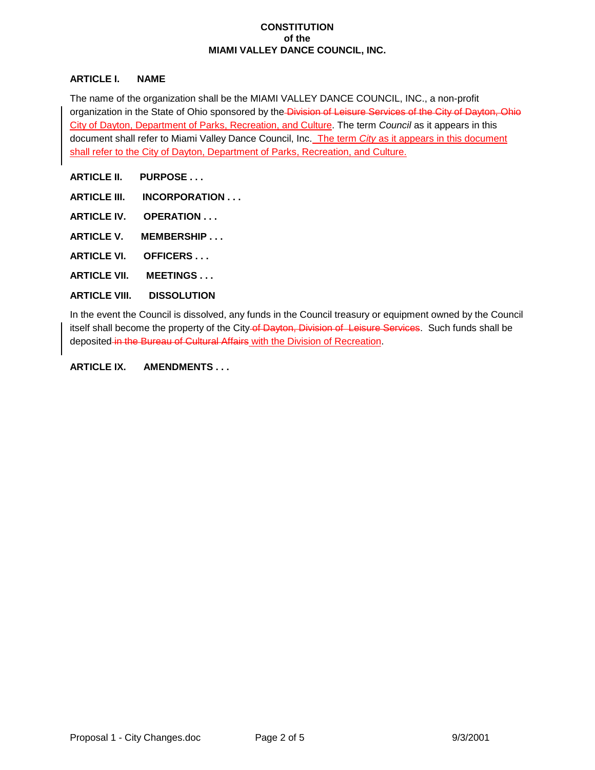#### **CONSTITUTION of the MIAMI VALLEY DANCE COUNCIL, INC.**

### **ARTICLE I. NAME**

The name of the organization shall be the MIAMI VALLEY DANCE COUNCIL, INC., a non-profit organization in the State of Ohio sponsored by the Division of Leisure Services of the City of Dayton, Ohio City of Dayton, Department of Parks, Recreation, and Culture. The term *Council* as it appears in this document shall refer to Miami Valley Dance Council, Inc. The term *City* as it appears in this document shall refer to the City of Dayton, Department of Parks, Recreation, and Culture.

**ARTICLE II. PURPOSE . . .**

- **ARTICLE III. INCORPORATION . . .**
- **ARTICLE IV. OPERATION . . .**
- **ARTICLE V. MEMBERSHIP . . .**
- **ARTICLE VI. OFFICERS . . .**
- **ARTICLE VII. MEETINGS . . .**

#### **ARTICLE VIII. DISSOLUTION**

In the event the Council is dissolved, any funds in the Council treasury or equipment owned by the Council itself shall become the property of the City-of Dayton, Division of Leisure Services. Such funds shall be deposited in the Bureau of Cultural Affairs with the Division of Recreation.

#### **ARTICLE IX. AMENDMENTS . . .**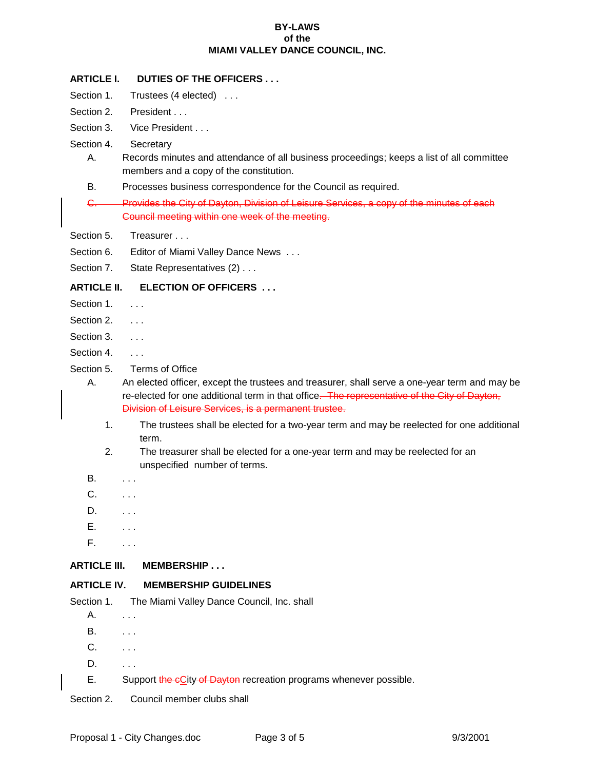#### **BY-LAWS of the MIAMI VALLEY DANCE COUNCIL, INC.**

## **ARTICLE I. DUTIES OF THE OFFICERS . . .**

- Section 1. Trustees (4 elected) ...
- Section 2. President . . .
- Section 3. Vice President . . .
- Section 4. Secretary
	- A. Records minutes and attendance of all business proceedings; keeps a list of all committee members and a copy of the constitution.
	- B. Processes business correspondence for the Council as required.
	- C. Provides the City of Dayton, Division of Leisure Services, a copy of the minutes of each Council meeting within one week of the meeting.
- Section 5. Treasurer . . .
- Section 6. Editor of Miami Valley Dance News ...
- Section 7. State Representatives (2) . . .

## **ARTICLE II. ELECTION OF OFFICERS . . .**

- Section 1. . . . .
- Section 2. . . . .
- Section 3. . . . .
- Section 4. . . . .
- Section 5. Terms of Office
	- A. An elected officer, except the trustees and treasurer, shall serve a one-year term and may be re-elected for one additional term in that office. The representative of the City of Dayton, Division of Leisure Services, is a permanent trustee.
		- 1. The trustees shall be elected for a two-year term and may be reelected for one additional term.
		- 2. The treasurer shall be elected for a one-year term and may be reelected for an unspecified number of terms.
	- **B.** . . . .
	- C. . . . .
	- D. . . . .
	- E. . . .
	- F. . . .

## **ARTICLE III. MEMBERSHIP . . .**

## **ARTICLE IV. MEMBERSHIP GUIDELINES**

| Section 1. | The Miami Valley Dance Council, Inc. shall                         |
|------------|--------------------------------------------------------------------|
| А.         |                                                                    |
| В.         | $\cdots$                                                           |
| C.         |                                                                    |
| D.         | $\cdots$                                                           |
| Е.         | Support the eCity of Dayton recreation programs whenever possible. |
|            |                                                                    |

Section 2. Council member clubs shall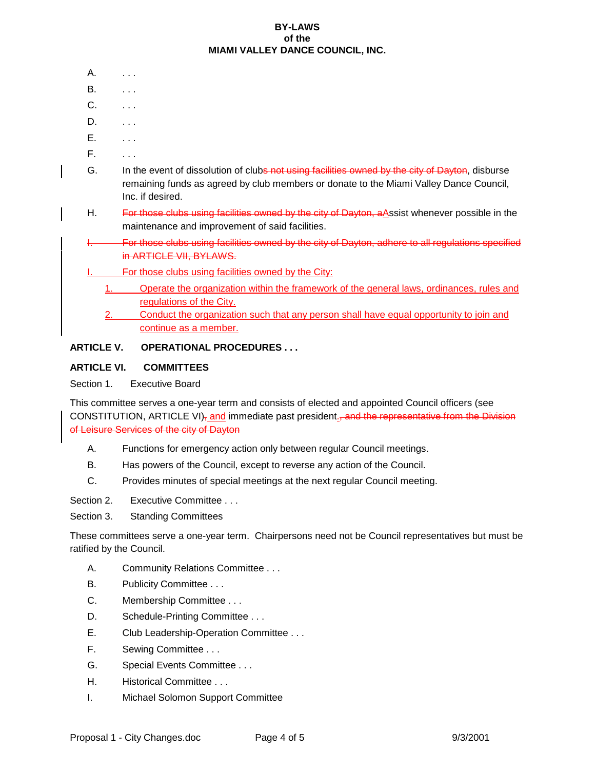#### **BY-LAWS of the MIAMI VALLEY DANCE COUNCIL, INC.**

- A. . . . .
- **B.** . . . .
- C. . . .
- $D.$   $\ldots$
- E. . . .
- F. . . .
- G. In the event of dissolution of clubs not using facilities owned by the city of Dayton, disburse remaining funds as agreed by club members or donate to the Miami Valley Dance Council, Inc. if desired.
- H. For those clubs using facilities owned by the city of Dayton, a Assist whenever possible in the maintenance and improvement of said facilities.
- I. For those clubs using facilities owned by the city of Dayton, adhere to all regulations specified in ARTICLE VII, BYLAWS.
- For those clubs using facilities owned by the City:
	- 1. Operate the organization within the framework of the general laws, ordinances, rules and regulations of the City.
	- 2. Conduct the organization such that any person shall have equal opportunity to join and continue as a member.

## **ARTICLE V. OPERATIONAL PROCEDURES . . .**

## **ARTICLE VI. COMMITTEES**

Section 1. Executive Board

This committee serves a one-year term and consists of elected and appointed Council officers (see CONSTITUTION, ARTICLE VI) $_7$  and immediate past president<sub>1</sub>, and the representative from the Division of Leisure Services of the city of Dayton

- A. Functions for emergency action only between regular Council meetings.
- B. Has powers of the Council, except to reverse any action of the Council.
- C. Provides minutes of special meetings at the next regular Council meeting.
- Section 2. Executive Committee . . .
- Section 3. Standing Committees

These committees serve a one-year term. Chairpersons need not be Council representatives but must be ratified by the Council.

- A. Community Relations Committee . . .
- B. Publicity Committee . . .
- C. Membership Committee . . .
- D. Schedule-Printing Committee ...
- E. Club Leadership-Operation Committee . . .
- F. Sewing Committee . . .
- G. Special Events Committee . . .
- H. Historical Committee . . .
- I. Michael Solomon Support Committee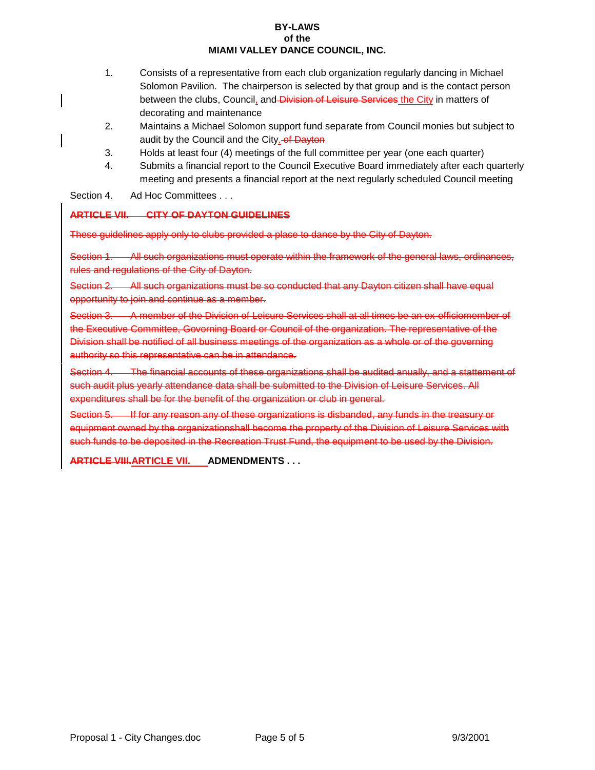#### **BY-LAWS of the MIAMI VALLEY DANCE COUNCIL, INC.**

- 1. Consists of a representative from each club organization regularly dancing in Michael Solomon Pavilion. The chairperson is selected by that group and is the contact person between the clubs, Council, and Division of Leisure Services the City in matters of decorating and maintenance
- 2. Maintains a Michael Solomon support fund separate from Council monies but subject to audit by the Council and the City.-of Dayton
- 3. Holds at least four (4) meetings of the full committee per year (one each quarter)
- 4. Submits a financial report to the Council Executive Board immediately after each quarterly meeting and presents a financial report at the next regularly scheduled Council meeting
- Section 4. Ad Hoc Committees . . .

## **ARTICLE VII. CITY OF DAYTON GUIDELINES**

These guidelines apply only to clubs provided a place to dance by the City of Dayton.

Section 1. All such organizations must operate within the framework of the general laws, ordinances, rules and regulations of the City of Dayton.

Section 2. All such organizations must be so conducted that any Dayton citizen shall have equal opportunity to join and continue as a member.

Section 3. A member of the Division of Leisure Services shall at all times be an ex-officiomember of the Executive Committee, Govorning Board or Council of the organization. The representative of the Division shall be notified of all business meetings of the organization as a whole or of the governing authority so this representative can be in attendance.

Section 4. The financial accounts of these organizations shall be audited anually, and a stattement of such audit plus yearly attendance data shall be submitted to the Division of Leisure Services. All expenditures shall be for the benefit of the organization or club in general.

Section 5. If for any reason any of these organizations is disbanded, any funds in the treasury or equipment owned by the organizationshall become the property of the Division of Leisure Services with such funds to be deposited in the Recreation Trust Fund, the equipment to be used by the Division.

**ARTICLE VIII.ARTICLE VII. ADMENDMENTS . . .**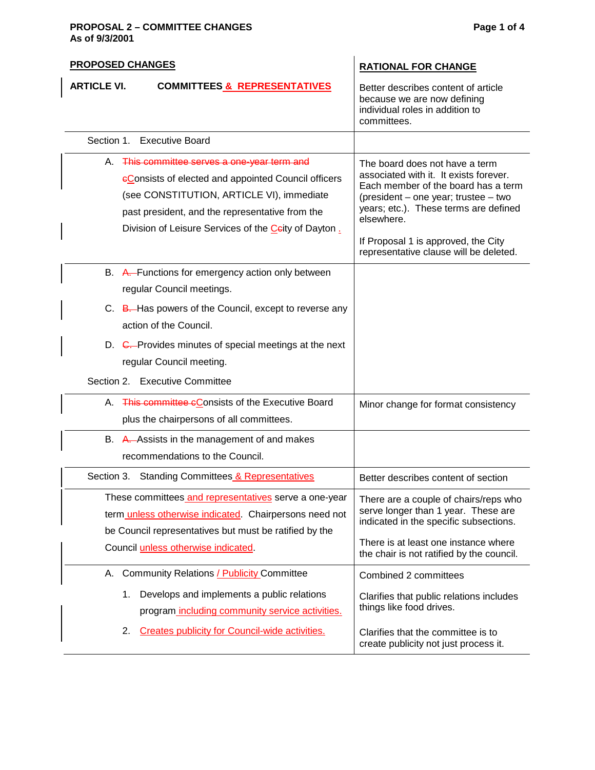### **PROPOSAL 2 – COMMITTEE CHANGES Page 1 of 4 As of 9/3/2001**

| <b>PROPOSED CHANGES</b>                                                                                                                                                                                                                                     | <b>RATIONAL FOR CHANGE</b>                                                                                                                                                                                                                            |  |  |  |
|-------------------------------------------------------------------------------------------------------------------------------------------------------------------------------------------------------------------------------------------------------------|-------------------------------------------------------------------------------------------------------------------------------------------------------------------------------------------------------------------------------------------------------|--|--|--|
| <b>ARTICLE VI.</b><br><b>COMMITTEES &amp; REPRESENTATIVES</b>                                                                                                                                                                                               | Better describes content of article<br>because we are now defining<br>individual roles in addition to<br>committees.                                                                                                                                  |  |  |  |
| Section 1. Executive Board                                                                                                                                                                                                                                  |                                                                                                                                                                                                                                                       |  |  |  |
| A. This committee serves a one-year term and<br>eConsists of elected and appointed Council officers<br>(see CONSTITUTION, ARTICLE VI), immediate<br>past president, and the representative from the<br>Division of Leisure Services of the Ceity of Dayton. | The board does not have a term<br>associated with it. It exists forever.<br>Each member of the board has a term<br>(president – one year; trustee – two<br>years; etc.). These terms are defined<br>elsewhere.<br>If Proposal 1 is approved, the City |  |  |  |
|                                                                                                                                                                                                                                                             | representative clause will be deleted.                                                                                                                                                                                                                |  |  |  |
| B. A. Functions for emergency action only between<br>regular Council meetings.                                                                                                                                                                              |                                                                                                                                                                                                                                                       |  |  |  |
| C. B. Has powers of the Council, except to reverse any<br>action of the Council.                                                                                                                                                                            |                                                                                                                                                                                                                                                       |  |  |  |
| D. C. Provides minutes of special meetings at the next<br>regular Council meeting.                                                                                                                                                                          |                                                                                                                                                                                                                                                       |  |  |  |
| Section 2. Executive Committee                                                                                                                                                                                                                              |                                                                                                                                                                                                                                                       |  |  |  |
| A. This committee cConsists of the Executive Board<br>plus the chairpersons of all committees.                                                                                                                                                              | Minor change for format consistency                                                                                                                                                                                                                   |  |  |  |
| B. A. Assists in the management of and makes<br>recommendations to the Council.                                                                                                                                                                             |                                                                                                                                                                                                                                                       |  |  |  |
| Section 3. Standing Committees & Representatives                                                                                                                                                                                                            | Better describes content of section                                                                                                                                                                                                                   |  |  |  |
| These committees and representatives serve a one-year<br>term <i>unless otherwise indicated</i> . Chairpersons need not<br>be Council representatives but must be ratified by the<br>Council unless otherwise indicated.                                    | There are a couple of chairs/reps who<br>serve longer than 1 year. These are<br>indicated in the specific subsections.<br>There is at least one instance where<br>the chair is not ratified by the council.                                           |  |  |  |
| A. Community Relations / Publicity Committee                                                                                                                                                                                                                | Combined 2 committees                                                                                                                                                                                                                                 |  |  |  |
| Develops and implements a public relations<br>1.<br>program including community service activities.                                                                                                                                                         | Clarifies that public relations includes<br>things like food drives.                                                                                                                                                                                  |  |  |  |
| <b>Creates publicity for Council-wide activities.</b><br>2.                                                                                                                                                                                                 | Clarifies that the committee is to<br>create publicity not just process it.                                                                                                                                                                           |  |  |  |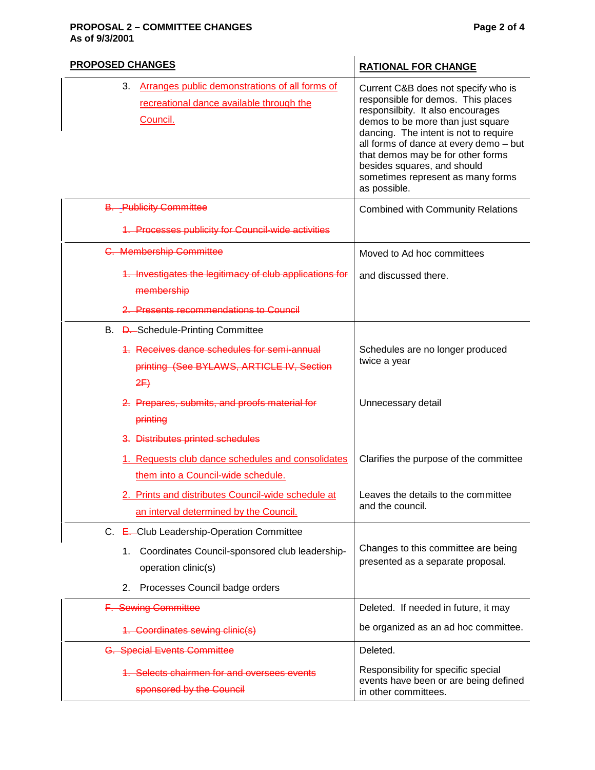#### **PROPOSAL 2 – COMMITTEE CHANGES Page 2 of 4 As of 9/3/2001**

| <b>PROPOSED CHANGES</b>                                                                                      | <b>RATIONAL FOR CHANGE</b>                                                                                                                                                                                                                                                                                                                                      |  |  |
|--------------------------------------------------------------------------------------------------------------|-----------------------------------------------------------------------------------------------------------------------------------------------------------------------------------------------------------------------------------------------------------------------------------------------------------------------------------------------------------------|--|--|
| Arranges public demonstrations of all forms of<br>3.<br>recreational dance available through the<br>Council. | Current C&B does not specify who is<br>responsible for demos. This places<br>responsilbity. It also encourages<br>demos to be more than just square<br>dancing. The intent is not to require<br>all forms of dance at every demo - but<br>that demos may be for other forms<br>besides squares, and should<br>sometimes represent as many forms<br>as possible. |  |  |
| <b>B.</b> Publicity Committee                                                                                | <b>Combined with Community Relations</b>                                                                                                                                                                                                                                                                                                                        |  |  |
| 1. Processes publicity for Council-wide activities                                                           |                                                                                                                                                                                                                                                                                                                                                                 |  |  |
| <b>C. Membership Committee</b>                                                                               | Moved to Ad hoc committees                                                                                                                                                                                                                                                                                                                                      |  |  |
| 1. Investigates the legitimacy of club applications for<br>membership                                        | and discussed there.                                                                                                                                                                                                                                                                                                                                            |  |  |
| 2. Presents recommendations to Council                                                                       |                                                                                                                                                                                                                                                                                                                                                                 |  |  |
| B. D. Schedule-Printing Committee                                                                            |                                                                                                                                                                                                                                                                                                                                                                 |  |  |
| 4. Receives dance schedules for semi-annual<br>printing (See BYLAWS, ARTICLE IV, Section<br>2F               | Schedules are no longer produced<br>twice a year                                                                                                                                                                                                                                                                                                                |  |  |
| 2. Prepares, submits, and proofs material for<br>printing                                                    | Unnecessary detail                                                                                                                                                                                                                                                                                                                                              |  |  |
| 3. Distributes printed schedules                                                                             |                                                                                                                                                                                                                                                                                                                                                                 |  |  |
| 1. Requests club dance schedules and consolidates<br>them into a Council-wide schedule.                      | Clarifies the purpose of the committee                                                                                                                                                                                                                                                                                                                          |  |  |
| 2. Prints and distributes Council-wide schedule at<br>an interval determined by the Council.                 | Leaves the details to the committee<br>and the council.                                                                                                                                                                                                                                                                                                         |  |  |
| C. E. Club Leadership-Operation Committee                                                                    |                                                                                                                                                                                                                                                                                                                                                                 |  |  |
| Coordinates Council-sponsored club leadership-<br>1.<br>operation clinic(s)                                  | Changes to this committee are being<br>presented as a separate proposal.                                                                                                                                                                                                                                                                                        |  |  |
| Processes Council badge orders<br>2.                                                                         |                                                                                                                                                                                                                                                                                                                                                                 |  |  |
| F. Sewing Committee                                                                                          | Deleted. If needed in future, it may                                                                                                                                                                                                                                                                                                                            |  |  |
| 1. Coordinates sewing clinic(s)                                                                              | be organized as an ad hoc committee.                                                                                                                                                                                                                                                                                                                            |  |  |
| <b>G. Special Events Committee</b>                                                                           | Deleted.                                                                                                                                                                                                                                                                                                                                                        |  |  |
| 1. Selects chairmen for and oversees events<br>sponsored by the Council                                      | Responsibility for specific special<br>events have been or are being defined<br>in other committees.                                                                                                                                                                                                                                                            |  |  |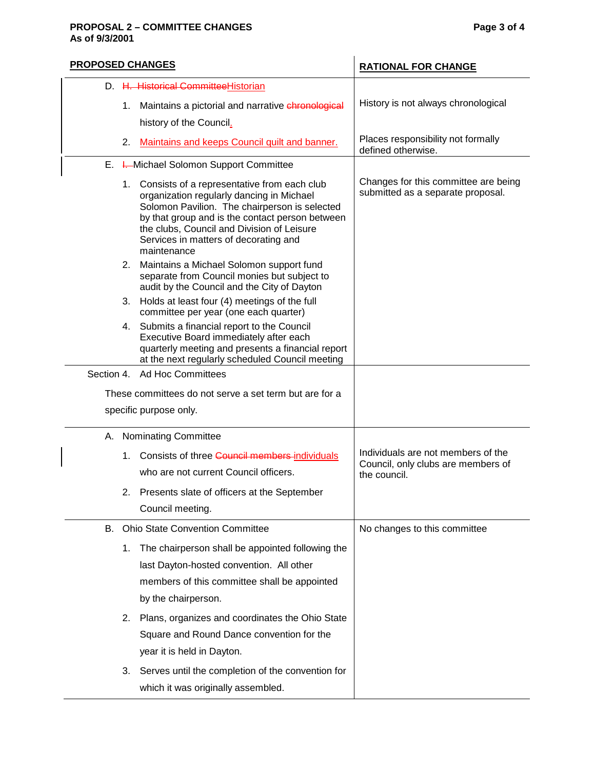### **PROPOSAL 2 – COMMITTEE CHANGES Page 3 of 4 As of 9/3/2001**

| <b>PROPOSED CHANGES</b> |    |                                                                                                                                                                                                                                                                                                       | <b>RATIONAL FOR CHANGE</b>                                                               |  |  |
|-------------------------|----|-------------------------------------------------------------------------------------------------------------------------------------------------------------------------------------------------------------------------------------------------------------------------------------------------------|------------------------------------------------------------------------------------------|--|--|
|                         |    | D. H. Historical Committee Historian                                                                                                                                                                                                                                                                  |                                                                                          |  |  |
|                         | 1. | Maintains a pictorial and narrative chronological                                                                                                                                                                                                                                                     | History is not always chronological                                                      |  |  |
|                         |    | history of the Council.                                                                                                                                                                                                                                                                               |                                                                                          |  |  |
|                         | 2. | Maintains and keeps Council quilt and banner.                                                                                                                                                                                                                                                         | Places responsibility not formally<br>defined otherwise.                                 |  |  |
|                         |    | E. I. Michael Solomon Support Committee                                                                                                                                                                                                                                                               |                                                                                          |  |  |
|                         |    | 1. Consists of a representative from each club<br>organization regularly dancing in Michael<br>Solomon Pavilion. The chairperson is selected<br>by that group and is the contact person between<br>the clubs, Council and Division of Leisure<br>Services in matters of decorating and<br>maintenance | Changes for this committee are being<br>submitted as a separate proposal.                |  |  |
|                         |    | 2. Maintains a Michael Solomon support fund<br>separate from Council monies but subject to<br>audit by the Council and the City of Dayton                                                                                                                                                             |                                                                                          |  |  |
|                         |    | 3. Holds at least four (4) meetings of the full<br>committee per year (one each quarter)                                                                                                                                                                                                              |                                                                                          |  |  |
|                         |    | 4. Submits a financial report to the Council<br>Executive Board immediately after each<br>quarterly meeting and presents a financial report<br>at the next regularly scheduled Council meeting                                                                                                        |                                                                                          |  |  |
|                         |    | Section 4. Ad Hoc Committees                                                                                                                                                                                                                                                                          |                                                                                          |  |  |
|                         |    | These committees do not serve a set term but are for a                                                                                                                                                                                                                                                |                                                                                          |  |  |
|                         |    | specific purpose only.                                                                                                                                                                                                                                                                                |                                                                                          |  |  |
|                         |    | A. Nominating Committee                                                                                                                                                                                                                                                                               |                                                                                          |  |  |
|                         | 1. | Consists of three Council members individuals<br>who are not current Council officers.                                                                                                                                                                                                                | Individuals are not members of the<br>Council, only clubs are members of<br>the council. |  |  |
|                         |    | Presents slate of officers at the September<br>Council meeting.                                                                                                                                                                                                                                       |                                                                                          |  |  |
|                         |    | <b>B.</b> Ohio State Convention Committee                                                                                                                                                                                                                                                             | No changes to this committee                                                             |  |  |
|                         | 1. | The chairperson shall be appointed following the<br>last Dayton-hosted convention. All other<br>members of this committee shall be appointed<br>by the chairperson.                                                                                                                                   |                                                                                          |  |  |
|                         | 2. | Plans, organizes and coordinates the Ohio State<br>Square and Round Dance convention for the<br>year it is held in Dayton.                                                                                                                                                                            |                                                                                          |  |  |
|                         | 3. | Serves until the completion of the convention for<br>which it was originally assembled.                                                                                                                                                                                                               |                                                                                          |  |  |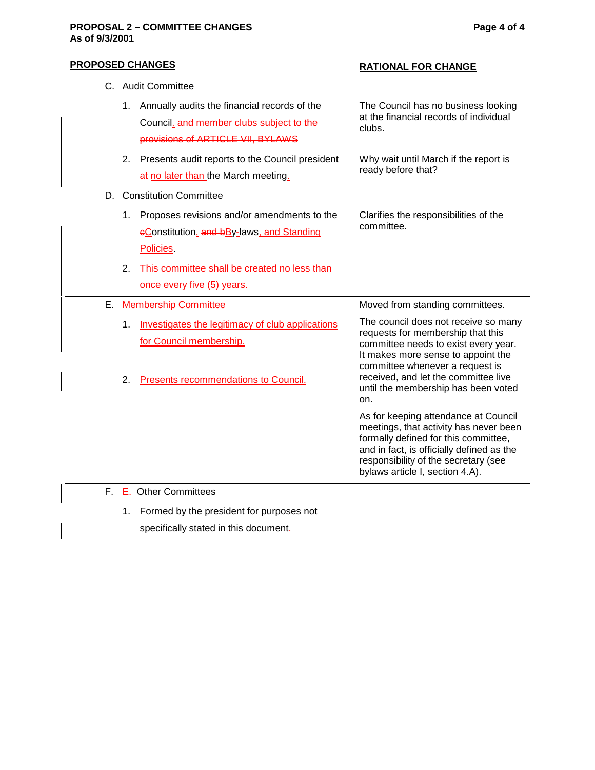## **PROPOSAL 2 – COMMITTEE CHANGES Page 4 of 4 As of 9/3/2001**

| <b>PROPOSED CHANGES</b> |    |                                                                               | <b>RATIONAL FOR CHANGE</b>                                                                                                                                                                                                                     |  |  |
|-------------------------|----|-------------------------------------------------------------------------------|------------------------------------------------------------------------------------------------------------------------------------------------------------------------------------------------------------------------------------------------|--|--|
|                         |    | C. Audit Committee                                                            |                                                                                                                                                                                                                                                |  |  |
|                         |    | 1. Annually audits the financial records of the                               | The Council has no business looking<br>at the financial records of individual                                                                                                                                                                  |  |  |
|                         |    | Council, and member clubs subject to the<br>provisions of ARTICLE VII, BYLAWS | clubs.                                                                                                                                                                                                                                         |  |  |
|                         |    | 2. Presents audit reports to the Council president                            | Why wait until March if the report is                                                                                                                                                                                                          |  |  |
|                         |    | at-no later than the March meeting.                                           | ready before that?                                                                                                                                                                                                                             |  |  |
|                         |    | D. Constitution Committee                                                     |                                                                                                                                                                                                                                                |  |  |
|                         |    | 1. Proposes revisions and/or amendments to the                                | Clarifies the responsibilities of the                                                                                                                                                                                                          |  |  |
|                         |    | eConstitution, and bBy-laws, and Standing                                     | committee.                                                                                                                                                                                                                                     |  |  |
|                         |    | Policies.                                                                     |                                                                                                                                                                                                                                                |  |  |
|                         | 2. | This committee shall be created no less than                                  |                                                                                                                                                                                                                                                |  |  |
|                         |    | once every five (5) years.                                                    |                                                                                                                                                                                                                                                |  |  |
| Е.                      |    | <b>Membership Committee</b>                                                   | Moved from standing committees.                                                                                                                                                                                                                |  |  |
|                         | 1. | Investigates the legitimacy of club applications                              | The council does not receive so many<br>requests for membership that this                                                                                                                                                                      |  |  |
|                         |    | for Council membership.                                                       | committee needs to exist every year.<br>It makes more sense to appoint the                                                                                                                                                                     |  |  |
|                         |    |                                                                               | committee whenever a request is                                                                                                                                                                                                                |  |  |
|                         | 2. | <b>Presents recommendations to Council.</b>                                   | received, and let the committee live<br>until the membership has been voted<br>on.                                                                                                                                                             |  |  |
|                         |    |                                                                               | As for keeping attendance at Council<br>meetings, that activity has never been<br>formally defined for this committee,<br>and in fact, is officially defined as the<br>responsibility of the secretary (see<br>bylaws article I, section 4.A). |  |  |
|                         |    | F. E. Other Committees                                                        |                                                                                                                                                                                                                                                |  |  |
|                         | 1. | Formed by the president for purposes not                                      |                                                                                                                                                                                                                                                |  |  |
|                         |    | specifically stated in this document.                                         |                                                                                                                                                                                                                                                |  |  |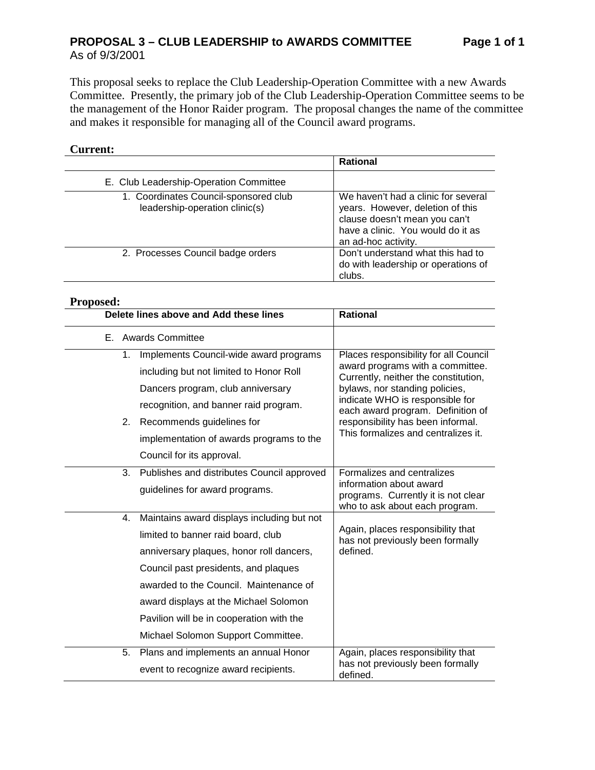# **PROPOSAL 3 – CLUB LEADERSHIP to AWARDS COMMITTEE Page 1 of 1** As of 9/3/2001

This proposal seeks to replace the Club Leadership-Operation Committee with a new Awards Committee. Presently, the primary job of the Club Leadership-Operation Committee seems to be the management of the Honor Raider program. The proposal changes the name of the committee and makes it responsible for managing all of the Council award programs.

## **Current:**

|                                                                         | <b>Rational</b>                                                                                                                                                      |
|-------------------------------------------------------------------------|----------------------------------------------------------------------------------------------------------------------------------------------------------------------|
| E. Club Leadership-Operation Committee                                  |                                                                                                                                                                      |
| 1. Coordinates Council-sponsored club<br>leadership-operation clinic(s) | We haven't had a clinic for several<br>years. However, deletion of this<br>clause doesn't mean you can't<br>have a clinic. You would do it as<br>an ad-hoc activity. |
| 2. Processes Council badge orders                                       | Don't understand what this had to<br>do with leadership or operations of<br>clubs.                                                                                   |

### **Proposed:**

|    | Delete lines above and Add these lines     | <b>Rational</b>                                                          |  |  |
|----|--------------------------------------------|--------------------------------------------------------------------------|--|--|
|    | E. Awards Committee                        |                                                                          |  |  |
| 1. | Implements Council-wide award programs     | Places responsibility for all Council                                    |  |  |
|    | including but not limited to Honor Roll    | award programs with a committee.<br>Currently, neither the constitution, |  |  |
|    | Dancers program, club anniversary          | bylaws, nor standing policies,                                           |  |  |
|    | recognition, and banner raid program.      | indicate WHO is responsible for<br>each award program. Definition of     |  |  |
| 2. | Recommends guidelines for                  | responsibility has been informal.                                        |  |  |
|    | implementation of awards programs to the   | This formalizes and centralizes it.                                      |  |  |
|    | Council for its approval.                  |                                                                          |  |  |
| 3. | Publishes and distributes Council approved | Formalizes and centralizes                                               |  |  |
|    | guidelines for award programs.             | information about award<br>programs. Currently it is not clear           |  |  |
| 4. | Maintains award displays including but not | who to ask about each program.                                           |  |  |
|    | limited to banner raid board, club         | Again, places responsibility that<br>has not previously been formally    |  |  |
|    | anniversary plaques, honor roll dancers,   | defined.                                                                 |  |  |
|    | Council past presidents, and plaques       |                                                                          |  |  |
|    | awarded to the Council. Maintenance of     |                                                                          |  |  |
|    | award displays at the Michael Solomon      |                                                                          |  |  |
|    | Pavilion will be in cooperation with the   |                                                                          |  |  |
|    | Michael Solomon Support Committee.         |                                                                          |  |  |
| 5. | Plans and implements an annual Honor       | Again, places responsibility that                                        |  |  |
|    | event to recognize award recipients.       | has not previously been formally<br>defined.                             |  |  |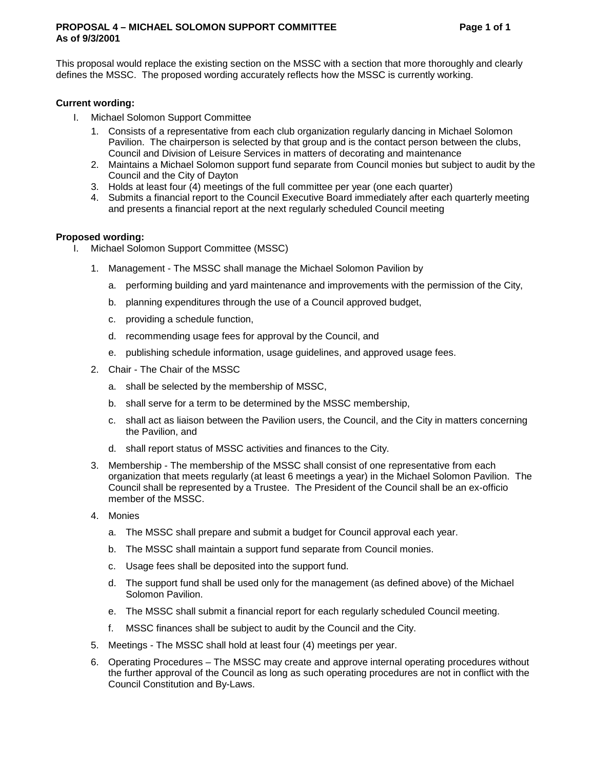#### **PROPOSAL 4 – MICHAEL SOLOMON SUPPORT COMMITTEE Page 1 of 1 As of 9/3/2001**

This proposal would replace the existing section on the MSSC with a section that more thoroughly and clearly defines the MSSC. The proposed wording accurately reflects how the MSSC is currently working.

## **Current wording:**

- I. Michael Solomon Support Committee
	- 1. Consists of a representative from each club organization regularly dancing in Michael Solomon Pavilion. The chairperson is selected by that group and is the contact person between the clubs, Council and Division of Leisure Services in matters of decorating and maintenance
	- 2. Maintains a Michael Solomon support fund separate from Council monies but subject to audit by the Council and the City of Dayton
	- 3. Holds at least four (4) meetings of the full committee per year (one each quarter)
	- 4. Submits a financial report to the Council Executive Board immediately after each quarterly meeting and presents a financial report at the next regularly scheduled Council meeting

### **Proposed wording:**

- I. Michael Solomon Support Committee (MSSC)
	- 1. Management The MSSC shall manage the Michael Solomon Pavilion by
		- a. performing building and yard maintenance and improvements with the permission of the City,
		- b. planning expenditures through the use of a Council approved budget,
		- c. providing a schedule function,
		- d. recommending usage fees for approval by the Council, and
		- e. publishing schedule information, usage guidelines, and approved usage fees.
	- 2. Chair The Chair of the MSSC
		- a. shall be selected by the membership of MSSC,
		- b. shall serve for a term to be determined by the MSSC membership,
		- c. shall act as liaison between the Pavilion users, the Council, and the City in matters concerning the Pavilion, and
		- d. shall report status of MSSC activities and finances to the City.
	- 3. Membership The membership of the MSSC shall consist of one representative from each organization that meets regularly (at least 6 meetings a year) in the Michael Solomon Pavilion. The Council shall be represented by a Trustee. The President of the Council shall be an ex-officio member of the MSSC.
	- 4. Monies
		- a. The MSSC shall prepare and submit a budget for Council approval each year.
		- b. The MSSC shall maintain a support fund separate from Council monies.
		- c. Usage fees shall be deposited into the support fund.
		- d. The support fund shall be used only for the management (as defined above) of the Michael Solomon Pavilion.
		- e. The MSSC shall submit a financial report for each regularly scheduled Council meeting.
		- f. MSSC finances shall be subject to audit by the Council and the City.
	- 5. Meetings The MSSC shall hold at least four (4) meetings per year.
	- 6. Operating Procedures The MSSC may create and approve internal operating procedures without the further approval of the Council as long as such operating procedures are not in conflict with the Council Constitution and By-Laws.